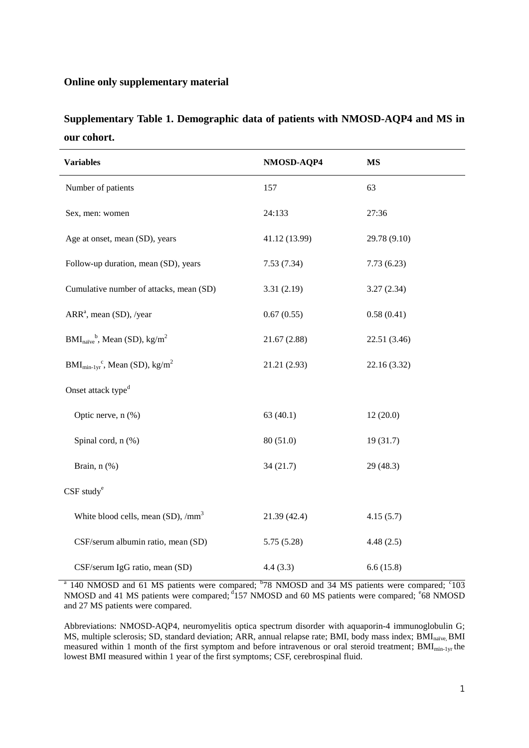## **Online only supplementary material**

| Supplementary Table 1. Demographic data of patients with NMOSD-AQP4 and MS in |  |  |  |  |  |
|-------------------------------------------------------------------------------|--|--|--|--|--|
| our cohort.                                                                   |  |  |  |  |  |

| <b>Variables</b>                                                        | NMOSD-AQP4    | <b>MS</b>    |
|-------------------------------------------------------------------------|---------------|--------------|
| Number of patients                                                      | 157           | 63           |
| Sex, men: women                                                         | 24:133        | 27:36        |
| Age at onset, mean (SD), years                                          | 41.12 (13.99) | 29.78 (9.10) |
| Follow-up duration, mean (SD), years                                    | 7.53(7.34)    | 7.73(6.23)   |
| Cumulative number of attacks, mean (SD)                                 | 3.31(2.19)    | 3.27(2.34)   |
| $ARRa$ , mean (SD), /year                                               | 0.67(0.55)    | 0.58(0.41)   |
| $BMI_{naive}^b$ , Mean (SD), kg/m <sup>2</sup>                          | 21.67(2.88)   | 22.51 (3.46) |
| $\text{BMI}_{\text{min-1yr}}^{\text{c}}$ , Mean (SD), kg/m <sup>2</sup> | 21.21 (2.93)  | 22.16 (3.32) |
| Onset attack type <sup>d</sup>                                          |               |              |
| Optic nerve, n (%)                                                      | 63(40.1)      | 12(20.0)     |
| Spinal cord, n (%)                                                      | 80(51.0)      | 19(31.7)     |
| Brain, n (%)                                                            | 34(21.7)      | 29(48.3)     |
| $CSF$ study $e$                                                         |               |              |
| White blood cells, mean (SD), /mm <sup>3</sup>                          | 21.39 (42.4)  | 4.15(5.7)    |
| CSF/serum albumin ratio, mean (SD)                                      | 5.75(5.28)    | 4.48(2.5)    |
| CSF/serum IgG ratio, mean (SD)                                          | 4.4(3.3)      | 6.6(15.8)    |

<sup>a</sup> 140 NMOSD and 61 MS patients were compared; <sup>b</sup>78 NMOSD and 34 MS patients were compared; <sup>c</sup>103 NMOSD and 41 MS patients were compared; <sup>d</sup>157 NMOSD and 60 MS patients were compared; <sup>e</sup>68 NMOSD and 27 MS patients were compared.

Abbreviations: NMOSD-AQP4, neuromyelitis optica spectrum disorder with aquaporin-4 immunoglobulin G; MS, multiple sclerosis; SD, standard deviation; ARR, annual relapse rate; BMI, body mass index; BMI<sub>naïve</sub>, BMI measured within 1 month of the first symptom and before intravenous or oral steroid treatment;  $\text{BMI}_{\text{min-1yr}}$  the lowest BMI measured within 1 year of the first symptoms; CSF, cerebrospinal fluid.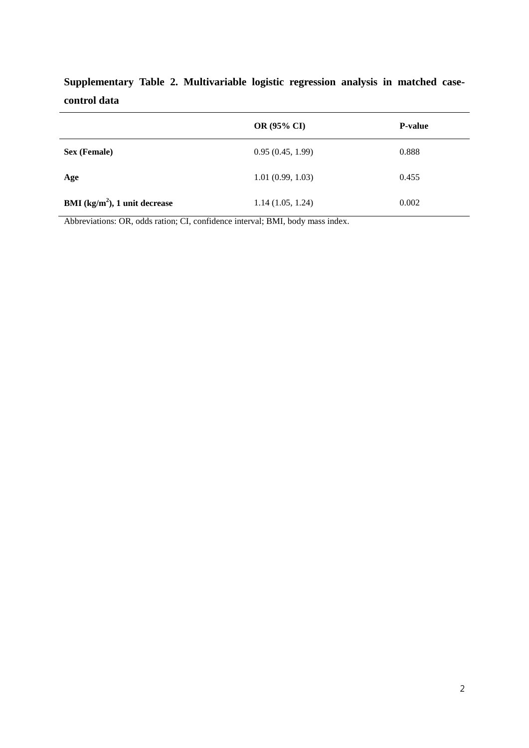|                                 | OR (95% CI)      | <b>P-value</b> |
|---------------------------------|------------------|----------------|
| <b>Sex (Female)</b>             | 0.95(0.45, 1.99) | 0.888          |
| Age                             | 1.01(0.99, 1.03) | 0.455          |
| BMI $(kg/m2)$ , 1 unit decrease | 1.14(1.05, 1.24) | 0.002          |

**Supplementary Table 2. Multivariable logistic regression analysis in matched casecontrol data**

Abbreviations: OR, odds ration; CI, confidence interval; BMI, body mass index.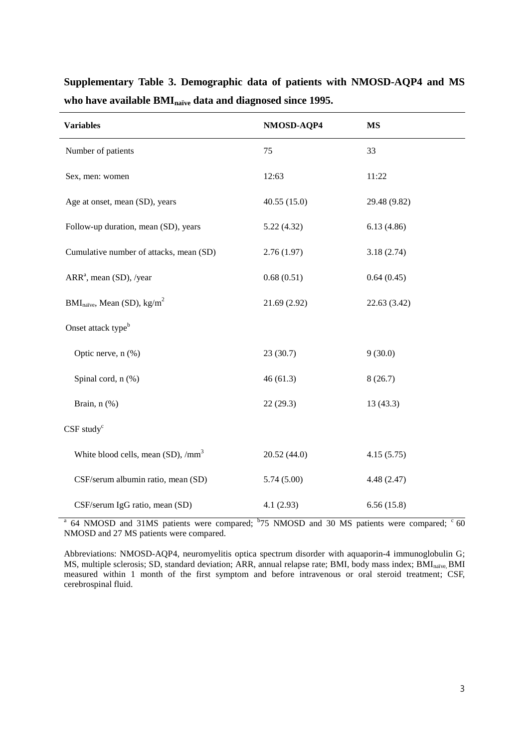| <b>Variables</b>                                  | NMOSD-AQP4  | <b>MS</b>    |
|---------------------------------------------------|-------------|--------------|
| Number of patients                                | 75          | 33           |
| Sex, men: women                                   | 12:63       | 11:22        |
| Age at onset, mean (SD), years                    | 40.55(15.0) | 29.48 (9.82) |
| Follow-up duration, mean (SD), years              | 5.22(4.32)  | 6.13(4.86)   |
| Cumulative number of attacks, mean (SD)           | 2.76(1.97)  | 3.18(2.74)   |
| ARR <sup>a</sup> , mean (SD), /year               | 0.68(0.51)  | 0.64(0.45)   |
| $BMInaiive$ , Mean (SD), kg/m <sup>2</sup>        | 21.69(2.92) | 22.63 (3.42) |
| Onset attack type <sup>b</sup>                    |             |              |
| Optic nerve, n (%)                                | 23(30.7)    | 9(30.0)      |
| Spinal cord, n (%)                                | 46(61.3)    | 8(26.7)      |
| Brain, n (%)                                      | 22(29.3)    | 13(43.3)     |
| $CSF$ study $c$                                   |             |              |
| White blood cells, mean $(SD)$ , /mm <sup>3</sup> | 20.52(44.0) | 4.15(5.75)   |
| CSF/serum albumin ratio, mean (SD)                | 5.74(5.00)  | 4.48(2.47)   |
| CSF/serum IgG ratio, mean (SD)                    | 4.1(2.93)   | 6.56(15.8)   |

**Supplementary Table 3. Demographic data of patients with NMOSD-AQP4 and MS who have available BMInaïve data and diagnosed since 1995.**

 $a$  64 NMOSD and 31MS patients were compared;  $b$ 75 NMOSD and 30 MS patients were compared;  $c$  60 NMOSD and 27 MS patients were compared.

Abbreviations: NMOSD-AQP4, neuromyelitis optica spectrum disorder with aquaporin-4 immunoglobulin G; MS, multiple sclerosis; SD, standard deviation; ARR, annual relapse rate; BMI, body mass index; BMI<sub>naïve</sub>, BMI measured within 1 month of the first symptom and before intravenous or oral steroid treatment; CSF, cerebrospinal fluid.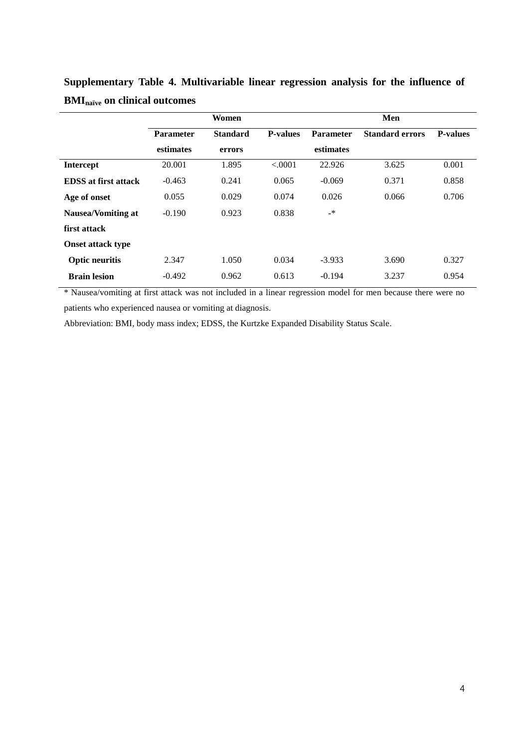|                             |                  | Women           |                 |                          | Men                    |                 |
|-----------------------------|------------------|-----------------|-----------------|--------------------------|------------------------|-----------------|
|                             | <b>Parameter</b> | <b>Standard</b> | <b>P-values</b> | <b>Parameter</b>         | <b>Standard errors</b> | <b>P-values</b> |
|                             | estimates        | errors          |                 | estimates                |                        |                 |
| <b>Intercept</b>            | 20.001           | 1.895           | < .0001         | 22.926                   | 3.625                  | 0.001           |
| <b>EDSS</b> at first attack | $-0.463$         | 0.241           | 0.065           | $-0.069$                 | 0.371                  | 0.858           |
| Age of onset                | 0.055            | 0.029           | 0.074           | 0.026                    | 0.066                  | 0.706           |
| <b>Nausea/Vomiting at</b>   | $-0.190$         | 0.923           | 0.838           | $\overline{\phantom{a}}$ |                        |                 |
| first attack                |                  |                 |                 |                          |                        |                 |
| <b>Onset attack type</b>    |                  |                 |                 |                          |                        |                 |
| <b>Optic neuritis</b>       | 2.347            | 1.050           | 0.034           | $-3.933$                 | 3.690                  | 0.327           |
| <b>Brain lesion</b>         | $-0.492$         | 0.962           | 0.613           | $-0.194$                 | 3.237                  | 0.954           |

**Supplementary Table 4. Multivariable linear regression analysis for the influence of BMInaïve on clinical outcomes**

\* Nausea/vomiting at first attack was not included in a linear regression model for men because there were no patients who experienced nausea or vomiting at diagnosis.

Abbreviation: BMI, body mass index; EDSS, the Kurtzke Expanded Disability Status Scale.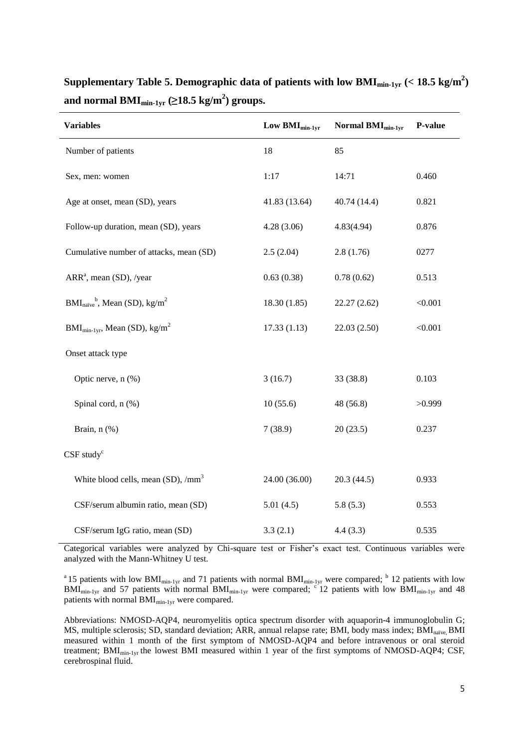| <b>Variables</b>                                  | Low $\text{BMI}_{\text{min-1vr}}$ | Normal BMI <sub>min-1vr</sub> | P-value |
|---------------------------------------------------|-----------------------------------|-------------------------------|---------|
| Number of patients                                | 18                                | 85                            |         |
| Sex, men: women                                   | 1:17                              | 14:71                         | 0.460   |
| Age at onset, mean (SD), years                    | 41.83 (13.64)                     | 40.74 (14.4)                  | 0.821   |
| Follow-up duration, mean (SD), years              | 4.28(3.06)                        | 4.83(4.94)                    | 0.876   |
| Cumulative number of attacks, mean (SD)           | 2.5(2.04)                         | 2.8(1.76)                     | 0277    |
| ARR <sup>a</sup> , mean (SD), /year               | 0.63(0.38)                        | 0.78(0.62)                    | 0.513   |
| $BMInaiveb$ , Mean (SD), kg/m <sup>2</sup>        | 18.30(1.85)                       | 22.27(2.62)                   | < 0.001 |
| $BMI_{min-1yr}$ , Mean (SD), kg/m <sup>2</sup>    | 17.33(1.13)                       | 22.03 (2.50)                  | < 0.001 |
| Onset attack type                                 |                                   |                               |         |
| Optic nerve, n (%)                                | 3(16.7)                           | 33 (38.8)                     | 0.103   |
| Spinal cord, n (%)                                | 10(55.6)                          | 48 (56.8)                     | >0.999  |
| Brain, n (%)                                      | 7(38.9)                           | 20(23.5)                      | 0.237   |
| $CSF$ study $c$                                   |                                   |                               |         |
| White blood cells, mean $(SD)$ , /mm <sup>3</sup> | 24.00 (36.00)                     | 20.3(44.5)                    | 0.933   |
| CSF/serum albumin ratio, mean (SD)                | 5.01(4.5)                         | 5.8(5.3)                      | 0.553   |
| CSF/serum IgG ratio, mean (SD)                    | 3.3(2.1)                          | 4.4(3.3)                      | 0.535   |

**Supplementary Table 5. Demographic data of patients with low BMImin-1yr (< 18.5 kg/m<sup>2</sup> ) and normal BMImin-1yr (≥18.5 kg/m<sup>2</sup> ) groups.**

Categorical variables were analyzed by Chi-square test or Fisher's exact test. Continuous variables were analyzed with the Mann-Whitney U test.

<sup>a</sup> 15 patients with low BMI<sub>min-1yr</sub> and 71 patients with normal BMI<sub>min-1yr</sub> were compared; <sup>b</sup> 12 patients with low  $BM_{min-1yr}$  and 57 patients with normal BMI<sub>min-1yr</sub> were compared; <sup>c'</sup>12 patients with low BMI<sub>min-1yr</sub> and 48 patients with normal BMI<sub>min-1yr</sub> were compared.

Abbreviations: NMOSD-AQP4, neuromyelitis optica spectrum disorder with aquaporin-4 immunoglobulin G; MS, multiple sclerosis; SD, standard deviation; ARR, annual relapse rate; BMI, body mass index; BMI<sub>naïve</sub> BMI measured within 1 month of the first symptom of NMOSD-AQP4 and before intravenous or oral steroid treatment; BMImin-1yr the lowest BMI measured within 1 year of the first symptoms of NMOSD-AQP4; CSF, cerebrospinal fluid.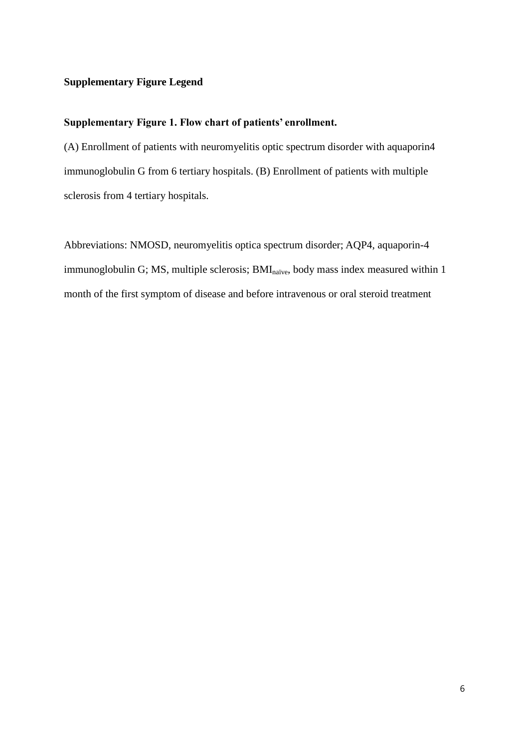## **Supplementary Figure Legend**

## **Supplementary Figure 1. Flow chart of patients' enrollment.**

(A) Enrollment of patients with neuromyelitis optic spectrum disorder with aquaporin4 immunoglobulin G from 6 tertiary hospitals. (B) Enrollment of patients with multiple sclerosis from 4 tertiary hospitals.

Abbreviations: NMOSD, neuromyelitis optica spectrum disorder; AQP4, aquaporin-4 immunoglobulin G; MS, multiple sclerosis; BMI<sub>naïve</sub>, body mass index measured within 1 month of the first symptom of disease and before intravenous or oral steroid treatment